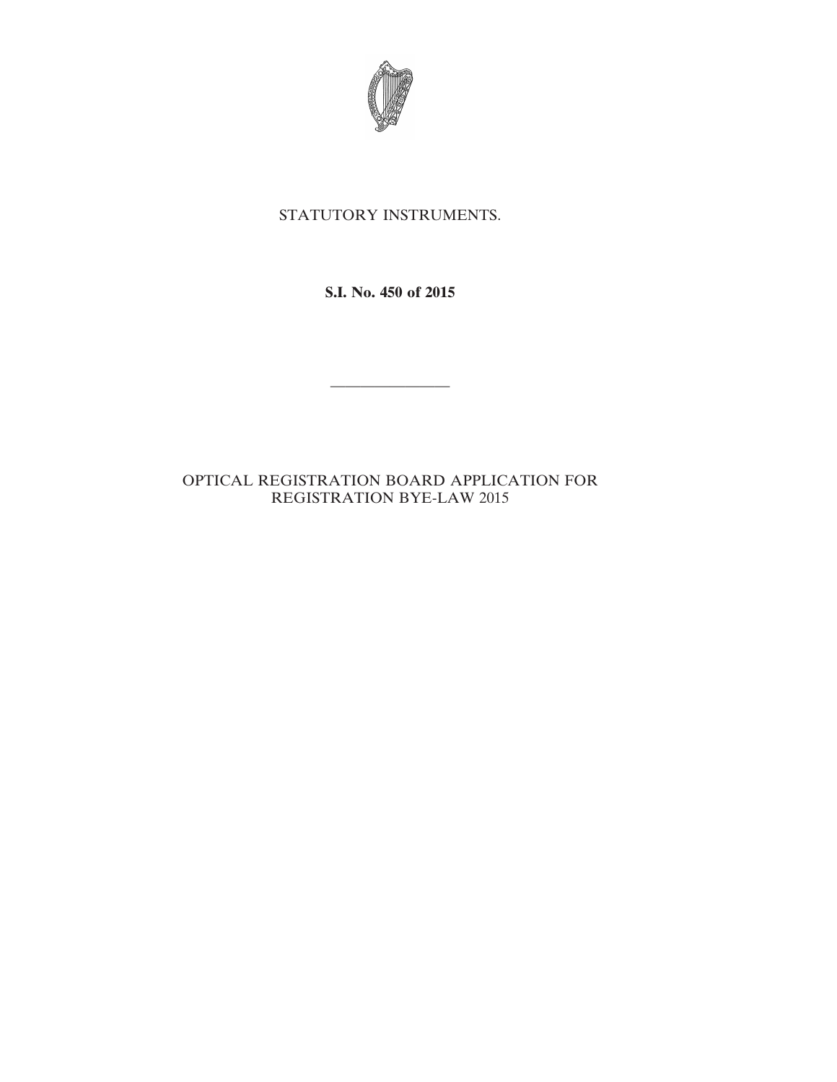

## STATUTORY INSTRUMENTS.

**S.I. No. 450 of 2015**

————————

## OPTICAL REGISTRATION BOARD APPLICATION FOR REGISTRATION BYE-LAW 2015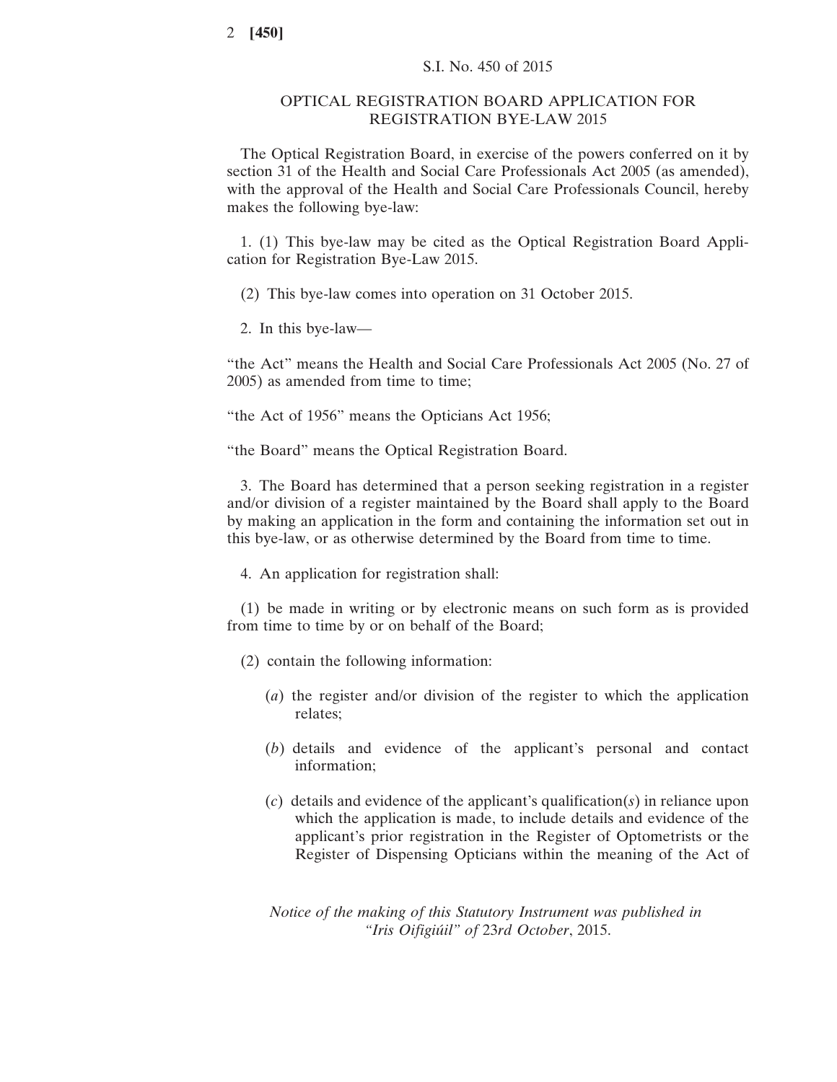## OPTICAL REGISTRATION BOARD APPLICATION FOR REGISTRATION BYE-LAW 2015

The Optical Registration Board, in exercise of the powers conferred on it by section 31 of the Health and Social Care Professionals Act 2005 (as amended), with the approval of the Health and Social Care Professionals Council, hereby makes the following bye-law:

1. (1) This bye-law may be cited as the Optical Registration Board Application for Registration Bye-Law 2015.

(2) This bye-law comes into operation on 31 October 2015.

2. In this bye-law—

"the Act" means the Health and Social Care Professionals Act 2005 (No. 27 of 2005) as amended from time to time;

"the Act of 1956" means the Opticians Act 1956;

"the Board" means the Optical Registration Board.

3. The Board has determined that a person seeking registration in a register and/or division of a register maintained by the Board shall apply to the Board by making an application in the form and containing the information set out in this bye-law, or as otherwise determined by the Board from time to time.

4. An application for registration shall:

(1) be made in writing or by electronic means on such form as is provided from time to time by or on behalf of the Board;

- (2) contain the following information:
	- (*a*) the register and/or division of the register to which the application relates;
	- (*b*) details and evidence of the applicant's personal and contact information;
	- (*c*) details and evidence of the applicant's qualification(*s*) in reliance upon which the application is made, to include details and evidence of the applicant's prior registration in the Register of Optometrists or the Register of Dispensing Opticians within the meaning of the Act of

*Notice of the making of this Statutory Instrument was published in "Iris Oifigiúil" of* 23*rd October*, 2015.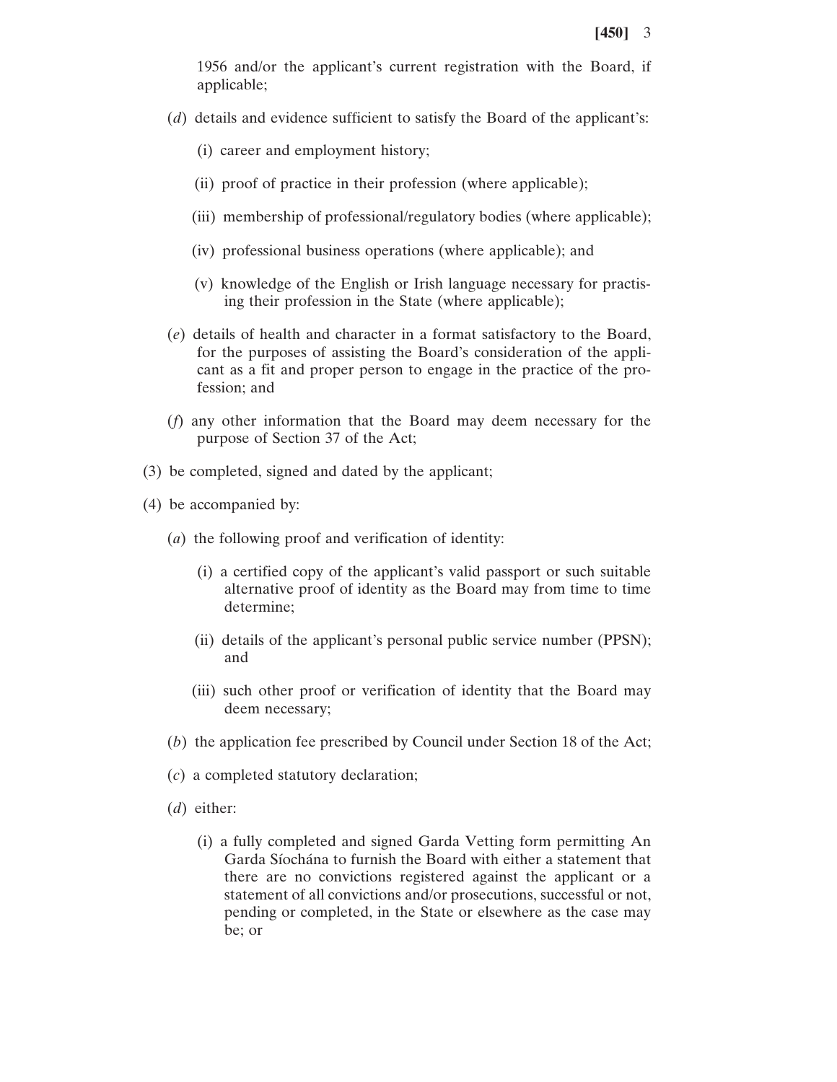1956 and/or the applicant's current registration with the Board, if applicable;

- (*d*) details and evidence sufficient to satisfy the Board of the applicant's:
	- (i) career and employment history;
	- (ii) proof of practice in their profession (where applicable);
	- (iii) membership of professional/regulatory bodies (where applicable);
	- (iv) professional business operations (where applicable); and
	- (v) knowledge of the English or Irish language necessary for practising their profession in the State (where applicable);
- (*e*) details of health and character in a format satisfactory to the Board, for the purposes of assisting the Board's consideration of the applicant as a fit and proper person to engage in the practice of the profession; and
- (*f*) any other information that the Board may deem necessary for the purpose of Section 37 of the Act;
- (3) be completed, signed and dated by the applicant;
- (4) be accompanied by:
	- (*a*) the following proof and verification of identity:
		- (i) a certified copy of the applicant's valid passport or such suitable alternative proof of identity as the Board may from time to time determine;
		- (ii) details of the applicant's personal public service number (PPSN); and
		- (iii) such other proof or verification of identity that the Board may deem necessary;
	- (*b*) the application fee prescribed by Council under Section 18 of the Act;
	- (*c*) a completed statutory declaration;
	- (*d*) either:
		- (i) a fully completed and signed Garda Vetting form permitting An Garda Síochána to furnish the Board with either a statement that there are no convictions registered against the applicant or a statement of all convictions and/or prosecutions, successful or not, pending or completed, in the State or elsewhere as the case may be; or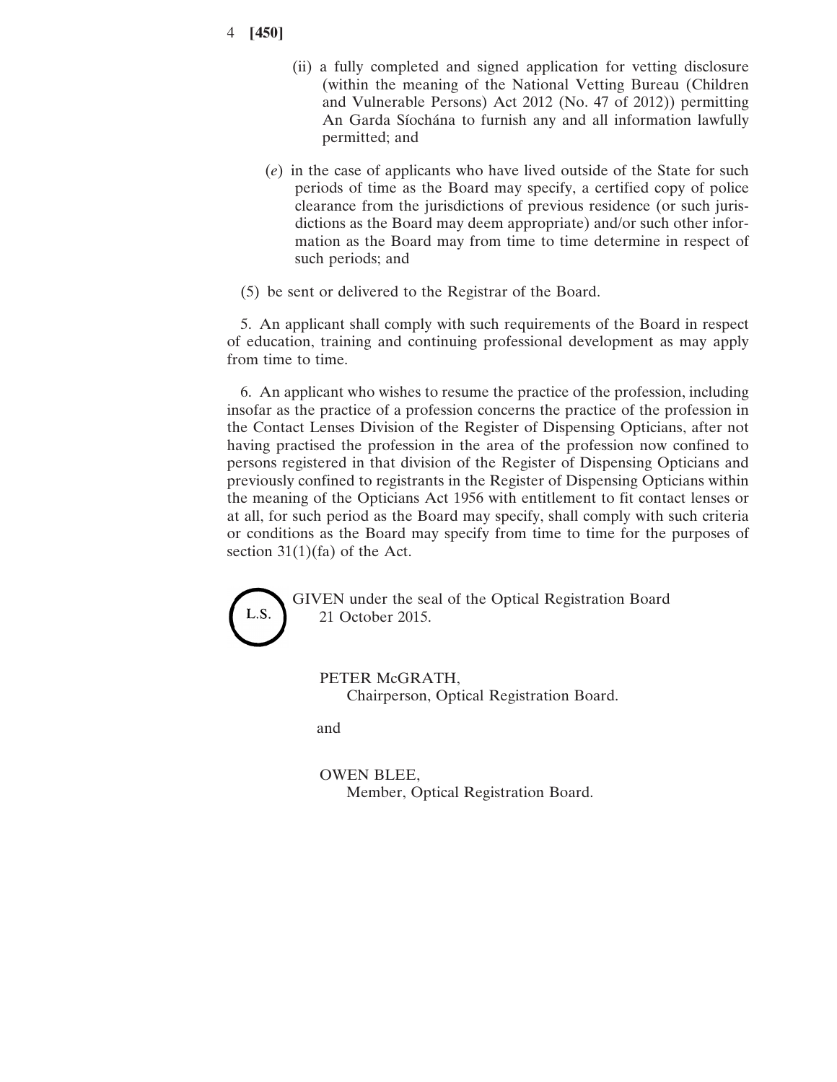- 4 **[450]**
- (ii) a fully completed and signed application for vetting disclosure (within the meaning of the National Vetting Bureau (Children and Vulnerable Persons) Act 2012 (No. 47 of 2012)) permitting An Garda Síochána to furnish any and all information lawfully permitted; and
- (*e*) in the case of applicants who have lived outside of the State for such periods of time as the Board may specify, a certified copy of police clearance from the jurisdictions of previous residence (or such jurisdictions as the Board may deem appropriate) and/or such other information as the Board may from time to time determine in respect of such periods; and
- (5) be sent or delivered to the Registrar of the Board.

5. An applicant shall comply with such requirements of the Board in respect of education, training and continuing professional development as may apply from time to time.

6. An applicant who wishes to resume the practice of the profession, including insofar as the practice of a profession concerns the practice of the profession in the Contact Lenses Division of the Register of Dispensing Opticians, after not having practised the profession in the area of the profession now confined to persons registered in that division of the Register of Dispensing Opticians and previously confined to registrants in the Register of Dispensing Opticians within the meaning of the Opticians Act 1956 with entitlement to fit contact lenses or at all, for such period as the Board may specify, shall comply with such criteria or conditions as the Board may specify from time to time for the purposes of section  $31(1)$ (fa) of the Act.

L.S.

GIVEN under the seal of the Optical Registration Board 21 October 2015.

PETER McGRATH, Chairperson, Optical Registration Board.

and

OWEN BLEE, Member, Optical Registration Board.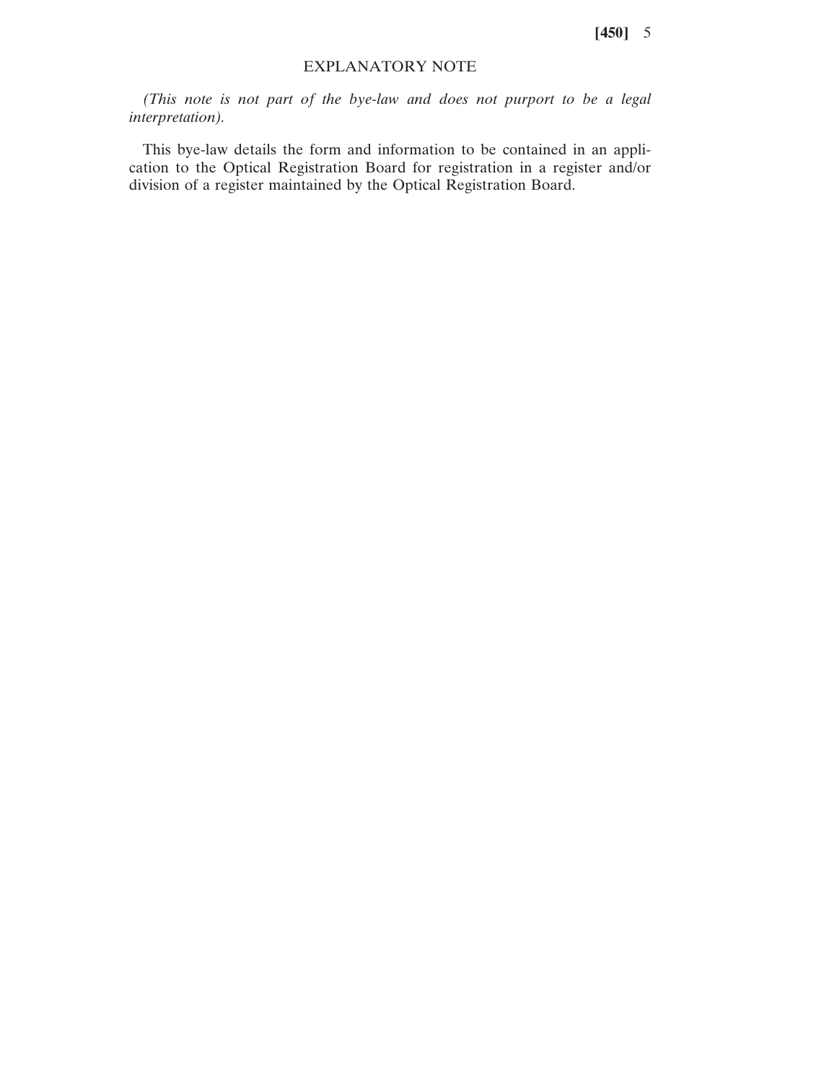**[450]** 5

## EXPLANATORY NOTE

*(This note is not part of the bye-law and does not purport to be a legal interpretation).*

This bye-law details the form and information to be contained in an application to the Optical Registration Board for registration in a register and/or division of a register maintained by the Optical Registration Board.